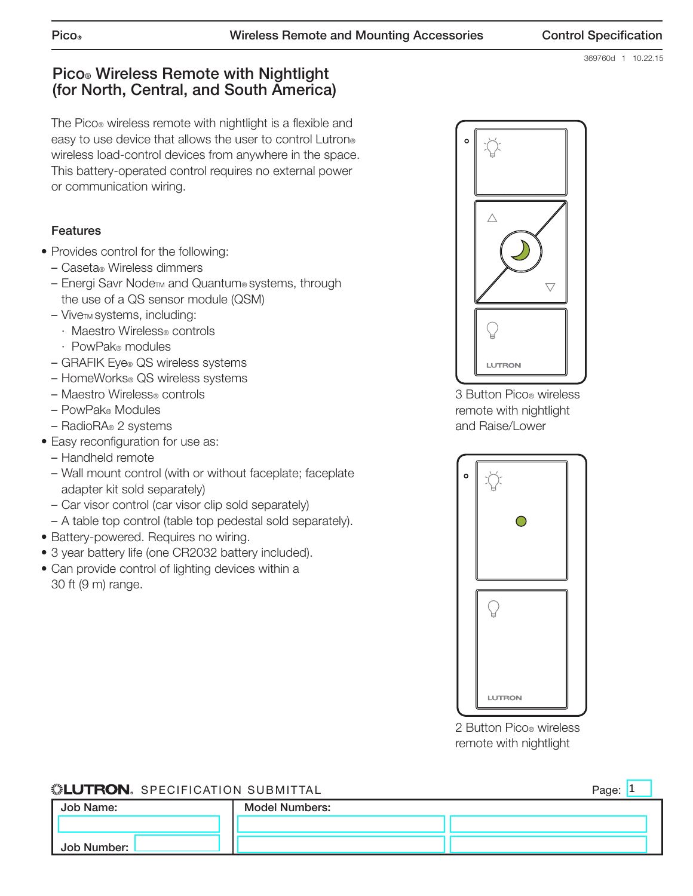369760d 1 10.22.15

# **Pico® Wireless Remote with Nightlight (for North, Central, and South America)**

The Pico® wireless remote with nightlight is a flexible and easy to use device that allows the user to control Lutron<sup>®</sup> wireless load-control devices from anywhere in the space. This battery-operated control requires no external power or communication wiring.

# **Features**

- Provides control for the following:
	- Caseta® Wireless dimmers
	- Energi Savr Node™ and Quantum® systems, through the use of a QS sensor module (QSM)
	- ViveTM systems, including:
		- · Maestro Wireless® controls
		- · PowPak® modules
	- GRAFIK Eye® QS wireless systems
	- HomeWorks® QS wireless systems
	- Maestro Wireless® controls
	- PowPak® Modules
	- RadioRA® 2 systems
- Easy reconfiguration for use as:
	- Handheld remote
	- Wall mount control (with or without faceplate; faceplate adapter kit sold separately)
	- Car visor control (car visor clip sold separately)
- A table top control (table top pedestal sold separately).
- Battery-powered. Requires no wiring.
- 3 year battery life (one CR2032 battery included).
- Can provide control of lighting devices within a 30 ft (9 m) range.



3 Button Pico® wireless remote with nightlight and Raise/Lower



2 Button Pico® wireless remote with nightlight

# **SEUTRON** SPECIFICATION SUBMITTAL **Job Name: Job Number: Model Numbers:** Page: 1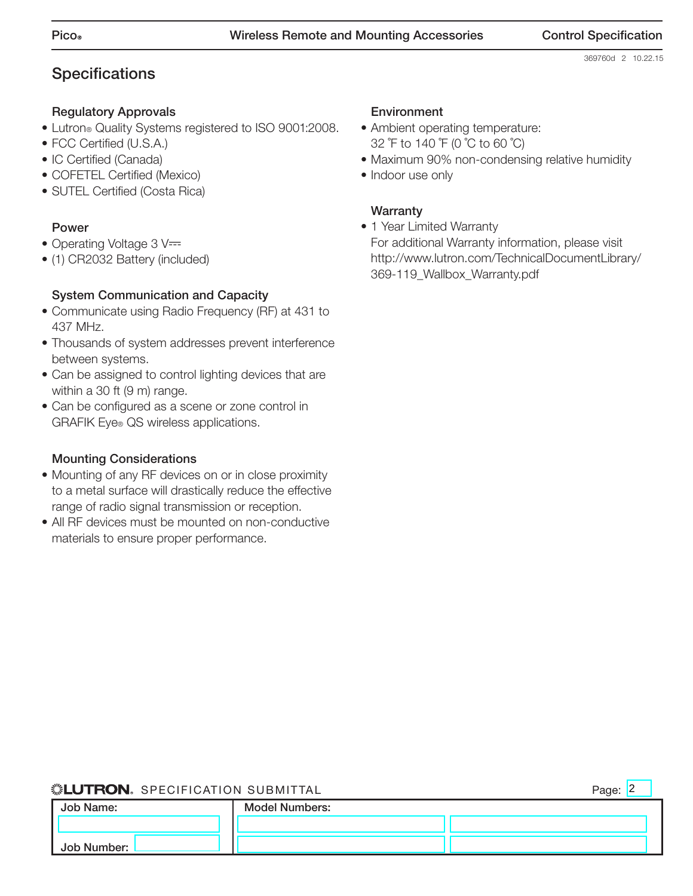369760d 2 10.22.15

# **Specifications**

## **Regulatory Approvals**

- Lutron® Quality Systems registered to ISO 9001:2008.
- FCC Certified (U.S.A.)
- IC Certified (Canada)
- COFETEL Certified (Mexico)
- SUTEL Certified (Costa Rica)

#### **Power**

- Operating Voltage 3 V=
- (1) CR2032 Battery (included)

## **System Communication and Capacity**

- Communicate using Radio Frequency (RF) at 431 to 437 MHz.
- Thousands of system addresses prevent interference between systems.
- Can be assigned to control lighting devices that are within a 30 ft (9 m) range.
- Can be configured as a scene or zone control in GRAFIK Eye® QS wireless applications.

## **Mounting Considerations**

- Mounting of any RF devices on or in close proximity to a metal surface will drastically reduce the effective range of radio signal transmission or reception.
- All RF devices must be mounted on non-conductive materials to ensure proper performance.

#### **Environment**

- Ambient operating temperature: 32 ˚F to 140 ˚F (0 ˚C to 60 ˚C)
- Maximum 90% non-condensing relative humidity
- Indoor use only

## **Warranty**

• 1 Year Limited Warranty For additional Warranty information, please visit http://www.lutron.com/TechnicalDocumentLibrary/ 369-119\_Wallbox\_Warranty.pdf

## **SELUTRON** SPECIFICATION SUBMITTAL

Page: 2

| Job Name:   | <b>Model Numbers:</b> |  |
|-------------|-----------------------|--|
|             |                       |  |
| Job Number: |                       |  |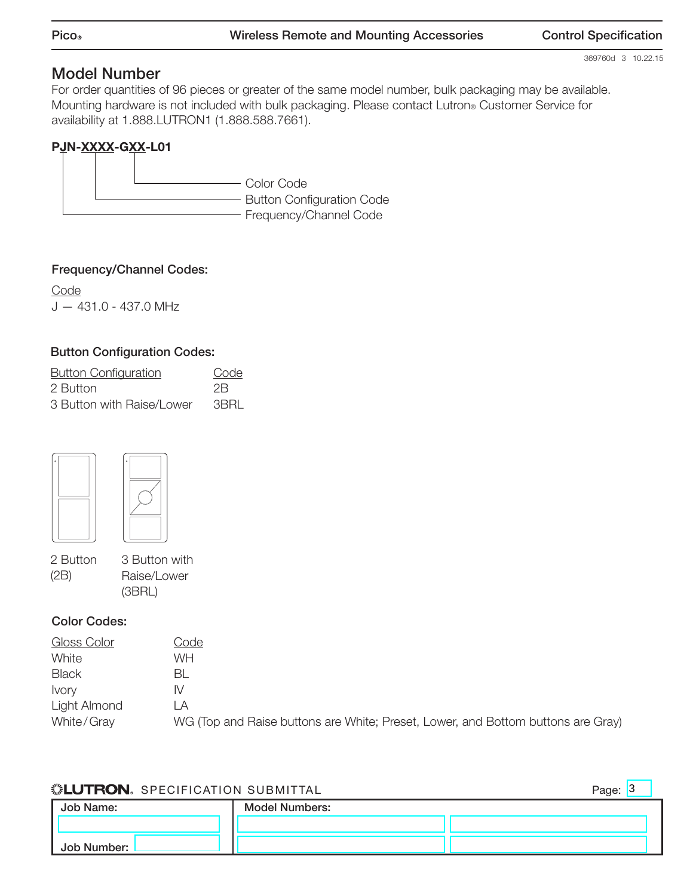369760d 3 10.22.15

# **Model Number**

For order quantities of 96 pieces or greater of the same model number, bulk packaging may be available. Mounting hardware is not included with bulk packaging. Please contact Lutron® Customer Service for availability at 1.888.LUTRON1 (1.888.588.7661).

# **PJN-XXXX-GXX-L01**

Color Code - Button Configuration Code - Frequency/Channel Code

## **Frequency/Channel Codes:**

**Code** J — 431.0 - 437.0 MHz

## **Button Configuration Codes:**

| <b>Button Configuration</b> | Code |
|-----------------------------|------|
| 2 Button                    | 2B   |
| 3 Button with Raise/Lower   | 3BRI |





2 Button (2B)

3 Button with Raise/Lower (3BRL)

#### **Color Codes:**

| Gloss Color  | Code                                                                             |
|--------------|----------------------------------------------------------------------------------|
| White        | WH                                                                               |
| <b>Black</b> | -BL                                                                              |
| <b>Ivory</b> | IV.                                                                              |
| Light Almond | ΙA                                                                               |
| White/Gray   | WG (Top and Raise buttons are White; Preset, Lower, and Bottom buttons are Gray) |

#### **SELUTRON** SPECIFICATION SUBMITTAL

Page: 3

| Job Name:   | <b>Model Numbers:</b> |  |
|-------------|-----------------------|--|
|             |                       |  |
| Job Number: |                       |  |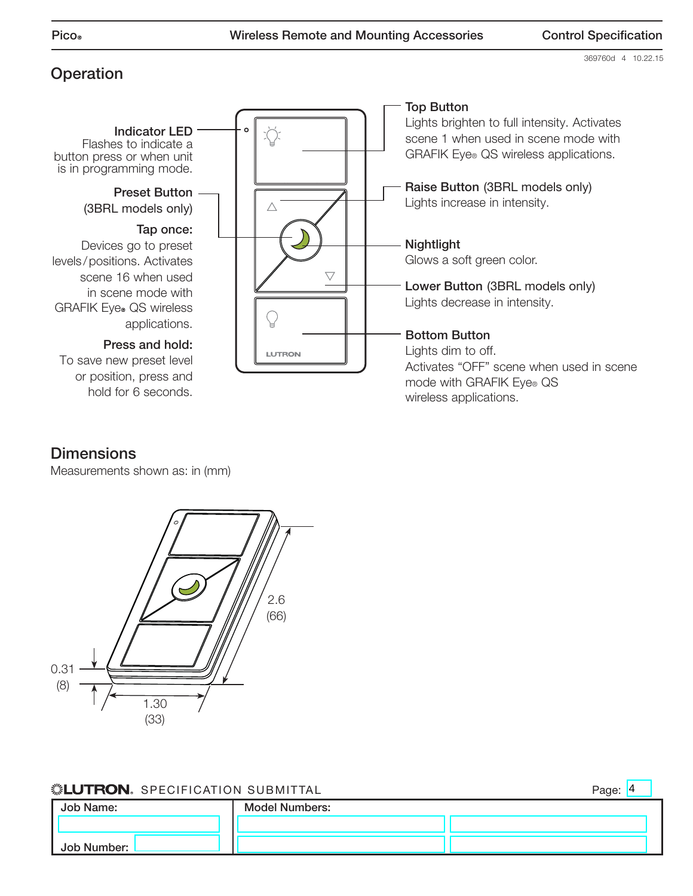**Operation**

369760d 4 10.22.15



# **Dimensions**

Measurements shown as: in (mm)



#### **SELUTRON** SPECIFICATION SUBMITTAL

**Job Name: Job Number: Model Numbers:** Page: 4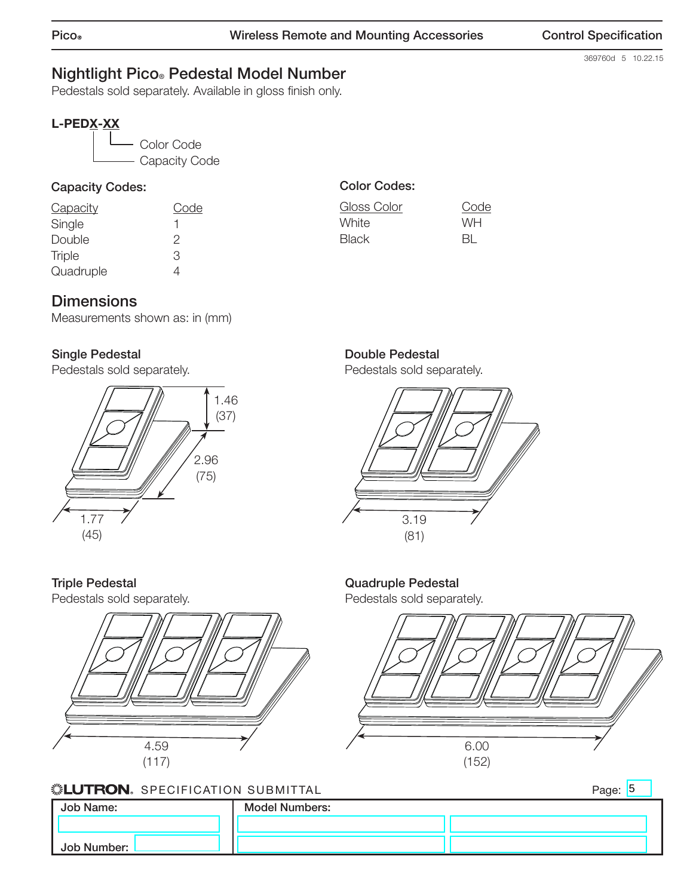369760d 5 10.22.15

# **Nightlight Pico® Pedestal Model Number**

Pedestals sold separately. Available in gloss finish only.

# **L-PEDX-XX**



## **Capacity Codes:**

| Code |
|------|
| ٦    |
| 2    |
| З    |
|      |
|      |

# **Color Codes:**

| Gloss Color  | Code |
|--------------|------|
| White        | WH   |
| <b>Black</b> | BL.  |

# **Dimensions**

Measurements shown as: in (mm)

# **Single Pedestal**

Pedestals sold separately.



# **Double Pedestal**

**Quadruple Pedestal** Pedestals sold separately.

Pedestals sold separately.



# **Triple Pedestal**

Pedestals sold separately.



#### **SELUTRON** SPECIFICATION SUBMITTAL

**Job Name: Job Number: Model Numbers:**

6.00 (152)

Page: 5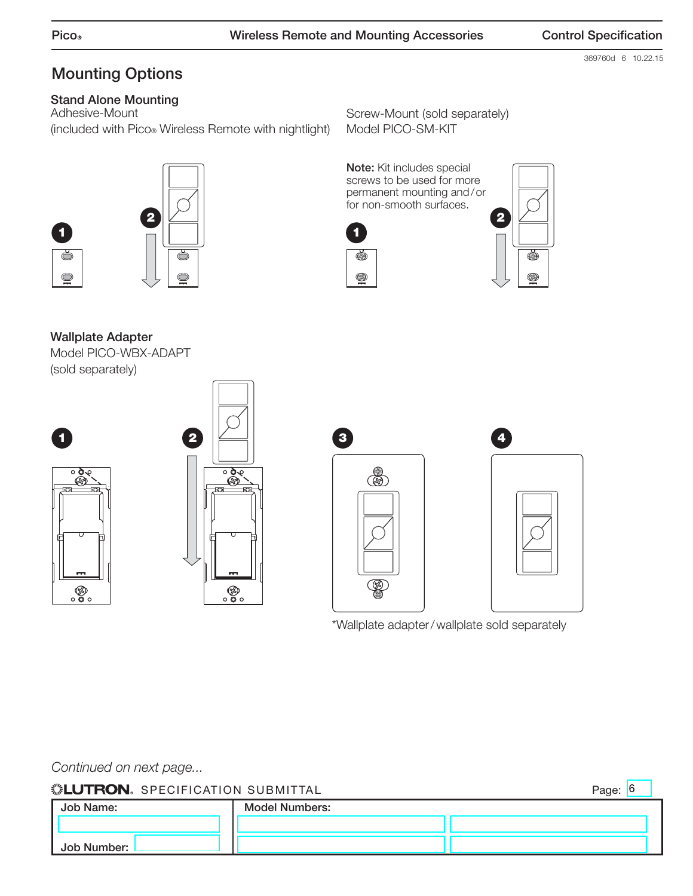369760d 6 10.22.15

Page:  $|6|$ 

# **Mounting Options**

# **Stand Alone Mounting**

Adhesive-Mount (included with Pico® Wireless Remote with nightlight)

ŏ

 $\bigcirc$ 

Screw-Mount (sold separately) Model PICO-SM-KIT

**Note:** Kit includes special screws to be used for more permanent mounting and / or for non-smooth surfaces.





**Wallplate Adapter** Model PICO-WBX-ADAPT (sold separately)

**2**



**1**

O







\*Wallplate adapter / wallplate sold separately

Continued on next page...

## **SELUTRON** SPECIFICATION SUBMITTAL

| Job Name:   | <b>Model Numbers:</b> |  |
|-------------|-----------------------|--|
|             |                       |  |
| Job Number: |                       |  |